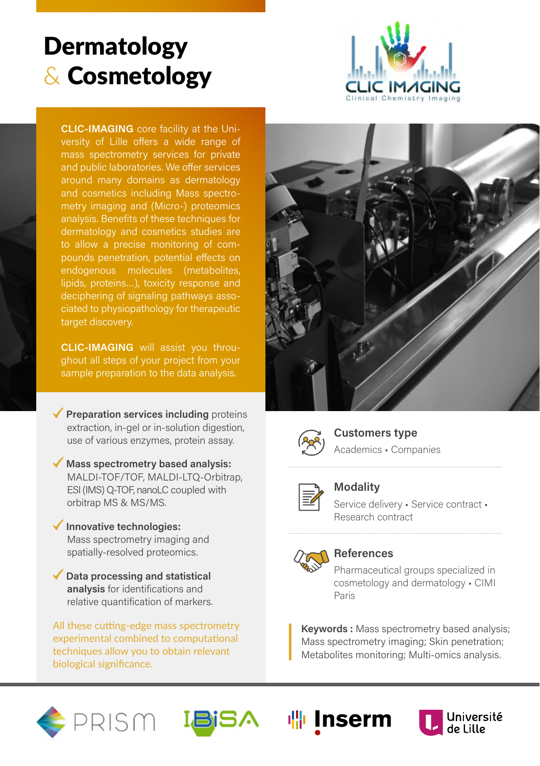# **Dermatology** & Cosmetology



**CLIC-IMAGING** core facility at the University of Lille offers a wide range of mass spectrometry services for private around many domains as dermatology and cosmetics including Mass spectrometry imaging and (Micro-) proteomics analysis. Benefits of these techniques for dermatology and cosmetics studies are to allow a precise monitoring of compounds penetration, potential effects on endogenous molecules (metabolites, lipids, proteins…), toxicity response and deciphering of signaling pathways associated to physiopathology for therapeutic target discovery.

**CLIC-IMAGING** will assist you throughout all steps of your project from your sample preparation to the data analysis.

**Preparation services including** proteins extraction, in-gel or in-solution digestion, use of various enzymes, protein assay.

- **Mass spectrometry based analysis:** MALDI-TOF/TOF, MALDI-LTQ-Orbitrap, ESI (IMS) Q-TOF, nanoLC coupled with orbitrap MS & MS/MS.
- **Innovative technologies:**  Mass spectrometry imaging and spatially-resolved proteomics.
- **Data processing and statistical analysis** for identifications and relative quantification of markers.

All these cutting-edge mass spectrometry experimental combined to computational techniques allow you to obtain relevant biological significance.





**Customers type** Academics • Companies



**Modality**

Service delivery • Service contract • Research contract



### **References**

Pharmaceutical groups specialized in cosmetology and dermatology • CIMI Paris

**Keywords :** Mass spectrometry based analysis; Mass spectrometry imaging; Skin penetration; Metabolites monitoring; Multi-omics analysis.





**喘** Inserm